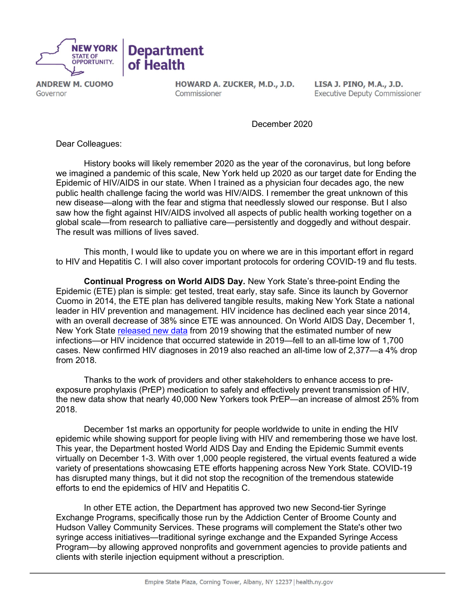

**ANDREW M. CUOMO** Governor

HOWARD A. ZUCKER, M.D., J.D. Commissioner

LISA J. PINO, M.A., J.D. **Executive Deputy Commissioner** 

December 2020

Dear Colleagues:

 History books will likely remember 2020 as the year of the coronavirus, but long before we imagined a pandemic of this scale, New York held up 2020 as our target date for Ending the Epidemic of HIV/AIDS in our state. When I trained as a physician four decades ago, the new public health challenge facing the world was HIV/AIDS. I remember the great unknown of this new disease—along with the fear and stigma that needlessly slowed our response. But I also saw how the fight against HIV/AIDS involved all aspects of public health working together on a global scale—from research to palliative care—persistently and doggedly and without despair. The result was millions of lives saved.

 This month, I would like to update you on where we are in this important effort in regard to HIV and Hepatitis C. I will also cover important protocols for ordering COVID-19 and flu tests.

 Continual Progress on World AIDS Day. New York State's three-point Ending the Epidemic (ETE) plan is simple: get tested, treat early, stay safe. Since its launch by Governor Cuomo in 2014, the ETE plan has delivered tangible results, making New York State a national leader in HIV prevention and management. HIV incidence has declined each year since 2014, with an overall decrease of 38% since ETE was announced. On World AIDS Day, December 1, New York State [released new data](https://etedashboardny.org/) from 2019 showing that the estimated number of new infections—or HIV incidence that occurred statewide in 2019—fell to an all-time low of 1,700 cases. New confirmed HIV diagnoses in 2019 also reached an all-time low of 2,377—a 4% drop from 2018.

 Thanks to the work of providers and other stakeholders to enhance access to preexposure prophylaxis (PrEP) medication to safely and effectively prevent transmission of HIV, the new data show that nearly 40,000 New Yorkers took PrEP—an increase of almost 25% from 2018.

 December 1st marks an opportunity for people worldwide to unite in ending the HIV epidemic while showing support for people living with HIV and remembering those we have lost. This year, the Department hosted World AIDS Day and Ending the Epidemic Summit events virtually on December 1-3. With over 1,000 people registered, the virtual events featured a wide variety of presentations showcasing ETE efforts happening across New York State. COVID-19 has disrupted many things, but it did not stop the recognition of the tremendous statewide efforts to end the epidemics of HIV and Hepatitis C.

 In other ETE action, the Department has approved two new Second-tier Syringe Exchange Programs, specifically those run by the Addiction Center of Broome County and Hudson Valley Community Services. These programs will complement the State's other two syringe access initiatives—traditional syringe exchange and the Expanded Syringe Access Program—by allowing approved nonprofits and government agencies to provide patients and clients with sterile injection equipment without a prescription.